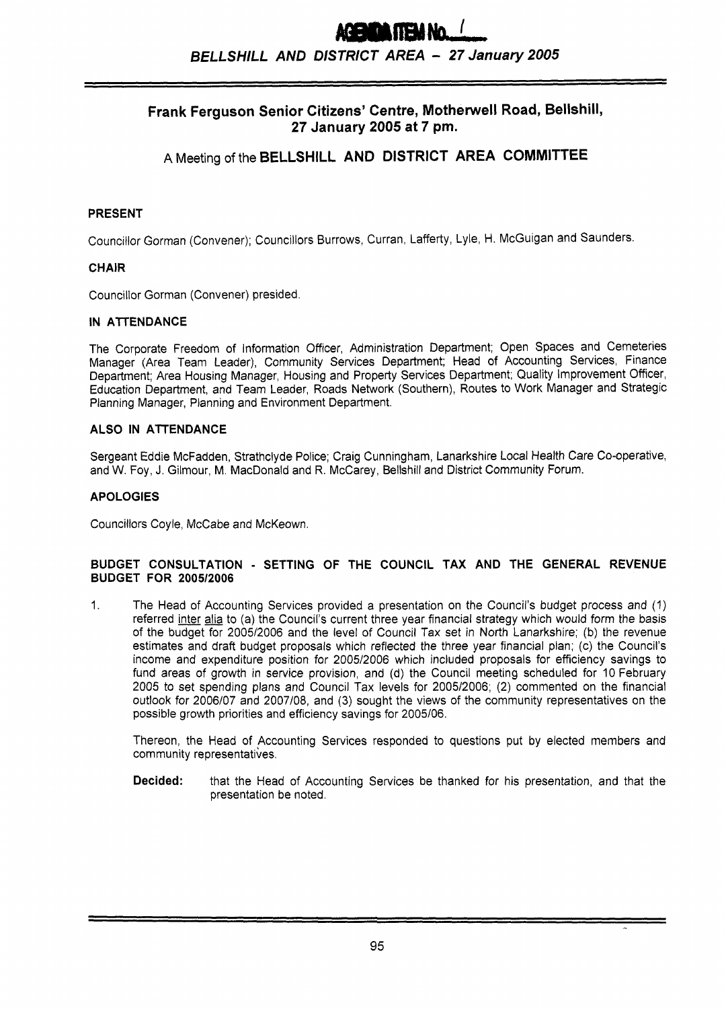# FIEM No. / *BELLSNILL AND DISTRICT AREA* - **<sup>27</sup>***January 2005*

# **Frank Ferguson Senior Citizens' Centre, Motherwell Road, Bellshill, 27 January 2005 at 7 pm.**

# A Meeting of the **BELLSHILL AND DISTRICT AREA COMMITTEE**

# **PRESENT**

Councillor Gorman (Convener); Councillors Burrows, Curran, Lafferty, Lyle, H. McGuigan and Saunders.

## **CHAIR**

Councillor Gorman (Convener) presided.

#### **IN AITENDANCE**

The Corporate Freedom of Information Officer, Administration Department; Open Spaces and Cemeteries Manager (Area Team Leader), Community Services Department; Head of Accounting Services, Finance Department; Area Housing Manager, Housing and Property Services Department; Quality Improvement Officer, Education Department, and Team Leader, Roads Network (Southern), Routes to Work Manager and Strategic Planning Manager, Planning and Environment Department.

#### **ALSO IN ATTENDANCE**

Sergeant Eddie McFadden, Strathclyde Police; Craig Cunningham, Lanarkshire Local Health Care Co-operative, and W. Foy, J. Gilmour, M. MacDonald and R. McCarey, Bellshill and District Community Forum.

## **APOLOGIES**

Councillors Coyle, McCabe and McKeown.

#### **BUDGET CONSULTATION** - **SETTING OF THE COUNCIL TAX AND THE GENERAL REVENUE BUDGET FOR** *200512006*

 $1.$ The Head of Accounting Services provided a presentation on the Council's budget process and (1) referred inter alia to (a) the Council's current three year financial strategy which would form the basis of the budget for 2005/2006 and the level of Council Tax set in North Lanarkshire; **(b)** the revenue estimates and draft budget proposals which reflected the three year financial plan; (c) the Council's income and expenditure position for 2005/2006 which included proposals for efficiency savings to fund areas of growth in service provision, and (d) the Council meeting scheduled for 10 February 2005 to set spending plans and Council Tax levels for *200512006;* (2) commented on the financial outlook for 2006/07 and 2007/08, and (3) sought the views of the community representatives on the possible growth priorities and efficiency savings for 2005/06.

Thereon, the Head of Accounting Services responded to questions put by elected members and community representatives.

**Decided:** that the Head of Accounting Services be thanked for his presentation, and that the presentation be noted.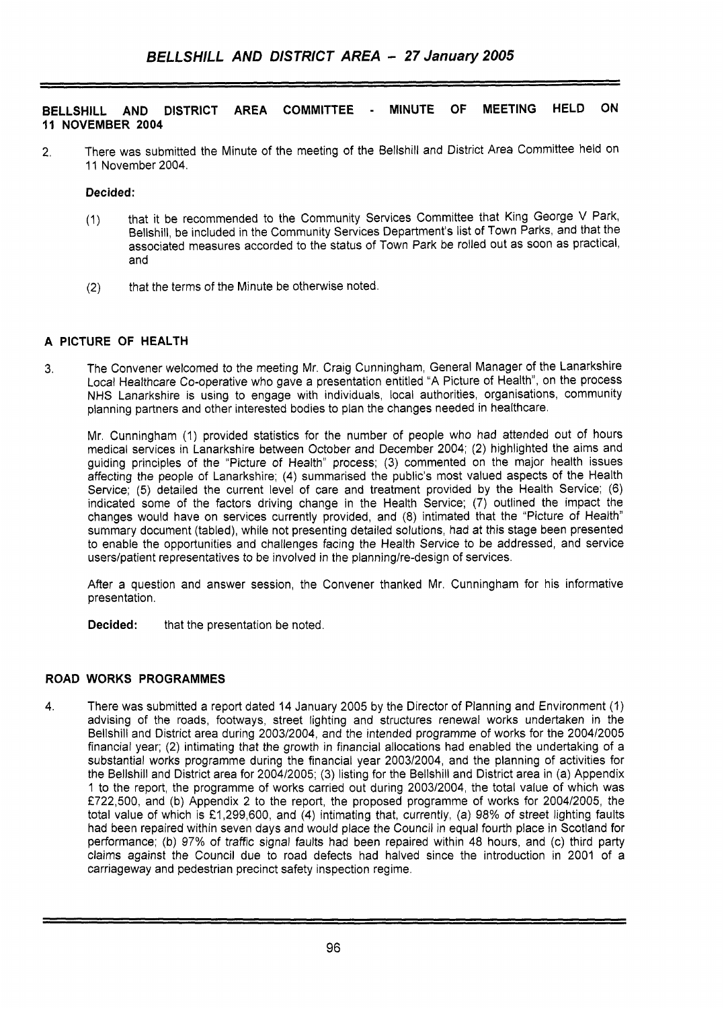## **BELLSHILL AND DISTRICT AREA COMMITTEE** - **MINUTE OF MEETING HELD ON 11 NOVEMBER 2004**

2. There was submitted the Minute of the meeting of the Bellshill and District Area Committee held on 11 November 2004.

# **Decided:**

- (1) that it be recommended to the Community Services Committee that King George V Park, Bellshill, be included in the Community Services Department's list of Town Parks, and that the associated measures accorded to the status of Town Park be rolled out as soon as practical, and
- (2) that the terms of the Minute be otherwise noted.

# **A PICTURE OF HEALTH**

3. The Convener welcomed to the meeting Mr. Craig Cunningham, General Manager of the Lanarkshire Local Healthcare Co-operative who gave a presentation entitled "A Picture of Health", on the process NHS Lanarkshire is using to engage with individuals, local authorities, organisations, Community planning partners and other interested bodies to plan the changes needed in healthcare.

Mr. Cunningham (1) provided statistics for the number of people who had attended out of hours medical services in Lanarkshire between October and December 2004; **(2)** highlighted the aims and guiding principles of the "Picture of Health" process; (3) commented on the major health issues affecting the people of Lanarkshire; (4) summarised the public's most valued aspects of the Health Service; (5) detailed the current level of care and treatment provided by the Health Service; (6) indicated some of the factors driving change in the Health Service; *(7)* outlined the impact the changes would have on services currently provided, and (8) intimated that the "Picture of Health" summary document (tabled), while not presenting detailed solutions, had at this stage been presented to enable the opportunities and challenges facing the Health Service to be addressed, and service users/patient representatives to be involved in the planning/re-design of services.

After a question and answer session, the Convener thanked Mr. Cunningham for his informative presentation.

**Decided:** that the presentation be noted.

## **ROAD WORKS PROGRAMMES**

4. There was submitted a report dated 14 January 2005 by the Director of Planning and Environment (1) advising of the roads, footways, street lighting and structures renewal works undertaken in the Bellshill and District area during 2003/2004, and the intended programme of works for the 2004/2005 financial year; **(2)** intimating that the growth in financial allocations had enabled the undertaking of a substantial works programme during the financial year 200312004, and the planning of activities for the Bellshill and District area for 2004/2005; (3) listing for the Bellshill and District area in (a) Appendix 1 to the report, the programme of works carried out during 200312004, the total value of which was **f722,500,** and (b) Appendix 2 to the report, the proposed programme of works for 2004/2005, the total value of which is **f** 1,299,600, and (4) intimating that, currently, (a) 98% of street lighting faults had been repaired within seven days and would place the Council in equal fourth place in Scotland for performance; (b) 97% of traffic signal faults had been repaired within 48 hours, and (c) third party claims against the Council due to road defects had halved since the introduction in 2001 of a carriageway and pedestrian precinct safety inspection regime.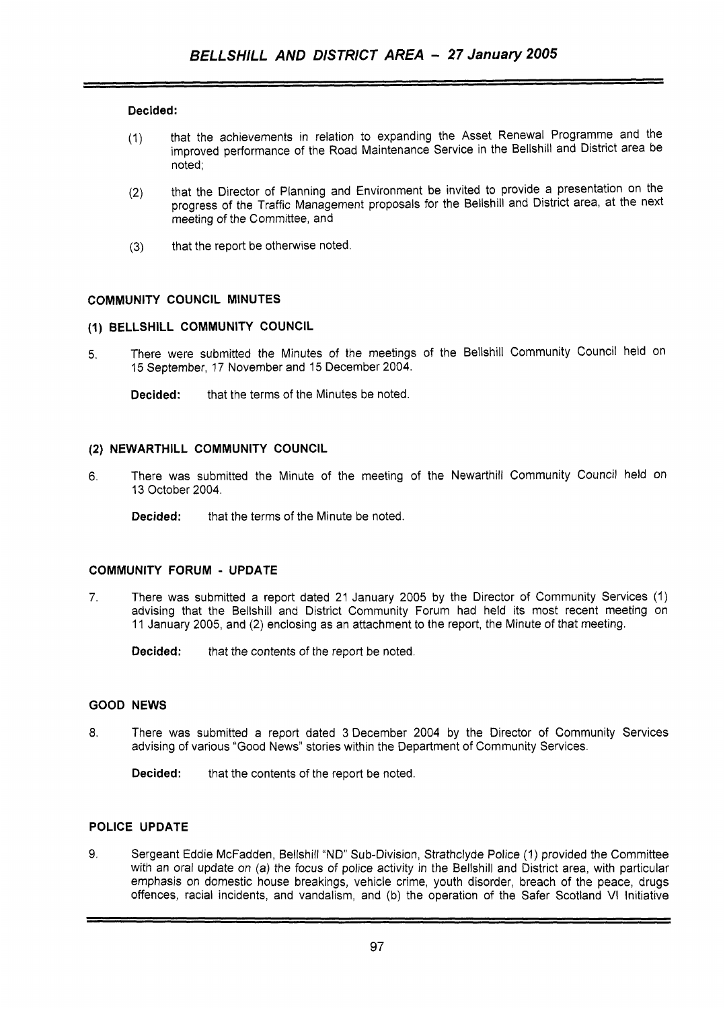#### **Decided:**

- (1) that the achievements in relation to expanding the Asset Renewal Programme and the improved performance of the Road Maintenance Service in the Bellshill and District area be noted;
- that the Director of Planning and Environment be invited to provide a presentation on the progress of the Traffic Management proposals for the Bellshill and District area, at the next meeting of the Committee, and (2)
- (3) that the report be otherwise noted.

#### **COMMUNITY COUNCIL MINUTES**

#### **(1) BELLSHILL COMMUNITY COUNCIL**

**5.** There were submitted the Minutes of the meetings of the Bellshill Community Council held on 15 September, 17 November and 15 December 2004.

**Decided:** that the terms of the Minutes be noted.

## **(2) NEWARTHILL COMMUNITY COUNCIL**

- **6.** There was submitted the Minute of the meeting of the Newarthill Community Council held on 13 October 2004.
	- **Decided:** that the terms of the Minute be noted.

#### **COMMUNITY FORUM** - **UPDATE**

7. There was submitted a report dated 21 January 2005 by the Director of Community Services (1) advising that the Bellshill and District Community Forum had held its most recent meeting on 11 January 2005, and (2) enclosing as an attachment to the report, the Minute *of* that meeting.

**Decided:** that the contents of the report be noted.

#### **GOOD NEWS**

**8.** There was submitted a report dated 3 December 2004 by the Director of Community Services advising of various "Good News" stories within the Department of Community Services.

**Decided:** that the contents of the report be noted.

# **POLICE UPDATE**

**9.** Sergeant Eddie McFadden, Bellshill "ND" Sub-Division, Strathclyde Police (1) provided the Committee with an oral update on (a) the focus of police activity in the Bellshill and District area, with particular emphasis on domestic house breakings, vehicle crime, youth disorder, breach of the peace, drugs offences, racial incidents, and vandalism, and (b) the operation of the Safer Scotland VI Initiative